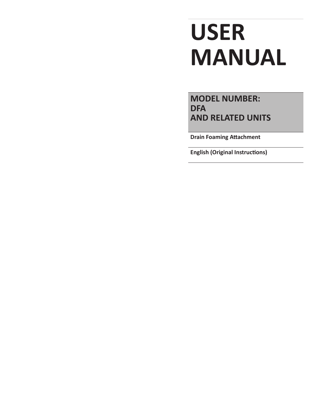# **USER MANUAL**

**MODEL NUMBER: DFA AND RELATED UNITS**

**Drain Foaming Attachment**

**English (Original Instructions)**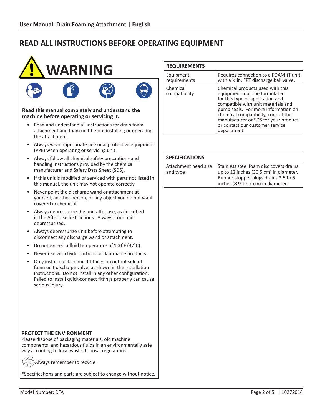

## • Read and understand all instructions for drain foam attachment and foam unit before installing or operating the attachment.

- • Always wear appropriate personal protective equipment (PPE) when operating or servicing unit.
- • Always follow all chemical safety precautions and handling instructions provided by the chemical manufacturer and Safety Data Sheet (SDS).
- • If this unit is modified or serviced with parts not listed in this manual, the unit may not operate correctly.
- • Never point the discharge wand or attachment at yourself, another person, or any object you do not want covered in chemical.
- • Always depressurize the unit after use, as described in the After Use Instructions. Always store unit depressurized.
- Always depressurize unit before attempting to disconnect any discharge wand or attachment.
- Do not exceed a fluid temperature of 100°F (37°C).
- Never use with hydrocarbons or flammable products.
- Only install quick-connect fittings on output side of foam unit discharge valve, as shown in the Installation Instructions. Do not install in any other configuration. Failed to install quick-connect fittings properly can cause serious injury.

## **REQUIREMENTS**

| Equipment<br>requirements | Requires connection to a FOAM-iT unit<br>with a $\frac{1}{2}$ in. FPT discharge ball valve.                                                                                                                                                                                                                        |
|---------------------------|--------------------------------------------------------------------------------------------------------------------------------------------------------------------------------------------------------------------------------------------------------------------------------------------------------------------|
| Chemical<br>compatibility | Chemical products used with this<br>equipment must be formulated<br>for this type of application and<br>compatible with unit materials and<br>pump seals. For more information on<br>chemical compatibility, consult the<br>manufacturer or SDS for your product<br>or contact our customer service<br>department. |

#### **SPECIFICATIONS**

| Attachment head size<br>and type | Stainless steel foam disc covers drains<br>up to 12 inches (30.5 cm) in diameter. |
|----------------------------------|-----------------------------------------------------------------------------------|
|                                  | Rubber stopper plugs drains 3.5 to 5<br>inches (8.9-12.7 cm) in diameter.         |

## **PROTECT THE ENVIRONMENT**

Please dispose of packaging materials, old machine components, and hazardous fluids in an environmentally safe way according to local waste disposal regulations.

 $\widetilde{\langle A \rangle}$  Always remember to recycle.

\*Specifications and parts are subject to change without notice.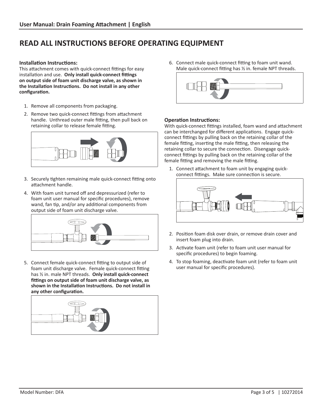#### **Installation Instructions:**

This attachment comes with quick-connect fittings for easy installation and use. **Only install quick-connect fittings on output side of foam unit discharge valve, as shown in the Installation Instructions. Do not install in any other configuration.**

- 1. Remove all components from packaging.
- 2. Remove two quick-connect fittings from attachment handle. Unthread outer male fitting, then pull back on retaining collar to release female fitting.



- 3. Securely tighten remaining male quick-connect fitting onto attachment handle.
- 4. With foam unit turned off and depressurized (refer to foam unit user manual for specific procedures), remove wand, fan tip, and/or any additional components from output side of foam unit discharge valve.



5. Connect female quick-connect fitting to output side of foam unit discharge valve. Female quick-connect fitting has ½ in. male NPT threads. **Only install quick-connect fittings on output side of foam unit discharge valve, as shown in the Installation Instructions. Do not install in any other configuration.**



6. Connect male quick-connect fitting to foam unit wand. Male quick-connect fitting has ½ in. female NPT threads.



#### **Operation Instructions:**

With quick-connect fittings installed, foam wand and attachment can be interchanged for different applications. Engage quickconnect fittings by pulling back on the retaining collar of the female fitting, inserting the male fitting, then releasing the retaining collar to secure the connection. Disengage quickconnect fittings by pulling back on the retaining collar of the female fitting and removing the male fitting.

1. Connect attachment to foam unit by engaging quickconnect fittings. Make sure connection is secure.



- 2. Position foam disk over drain, or remove drain cover and insert foam plug into drain.
- 3. Activate foam unit (refer to foam unit user manual for specific procedures) to begin foaming.
- 4. To stop foaming, deactivate foam unit (refer to foam unit user manual for specific procedures).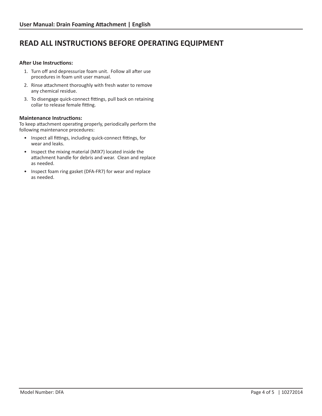#### **After Use Instructions:**

- 1. Turn off and depressurize foam unit. Follow all after use procedures in foam unit user manual.
- 2. Rinse attachment thoroughly with fresh water to remove any chemical residue.
- 3. To disengage quick-connect fittings, pull back on retaining collar to release female fitting.

#### **Maintenance Instructions:**

To keep attachment operating properly, periodically perform the following maintenance procedures:

- • Inspect all fittings, including quick-connect fittings, for wear and leaks.
- Inspect the mixing material (MIX7) located inside the attachment handle for debris and wear. Clean and replace as needed.
- • Inspect foam ring gasket (DFA-FR7) for wear and replace as needed.